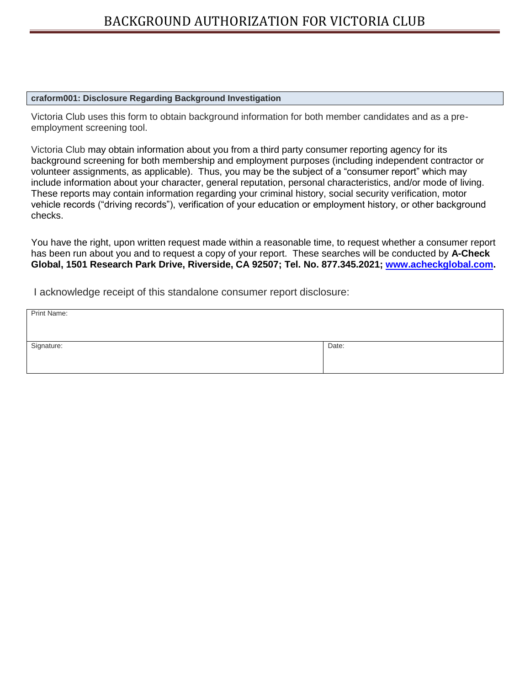### **craform001: Disclosure Regarding Background Investigation**

Victoria Club uses this form to obtain background information for both member candidates and as a preemployment screening tool.

Victoria Club may obtain information about you from a third party consumer reporting agency for its background screening for both membership and employment purposes (including independent contractor or volunteer assignments, as applicable). Thus, you may be the subject of a "consumer report" which may include information about your character, general reputation, personal characteristics, and/or mode of living. These reports may contain information regarding your criminal history, social security verification, motor vehicle records ("driving records"), verification of your education or employment history, or other background checks.

You have the right, upon written request made within a reasonable time, to request whether a consumer report has been run about you and to request a copy of your report. These searches will be conducted by **A-Check Global, 1501 Research Park Drive, Riverside, CA 92507; Tel. No. 877.345.2021; [www.acheckglobal.com.](http://www.acheckglobal.com/)**

I acknowledge receipt of this standalone consumer report disclosure:

| Print Name: |       |
|-------------|-------|
| Signature:  | Date: |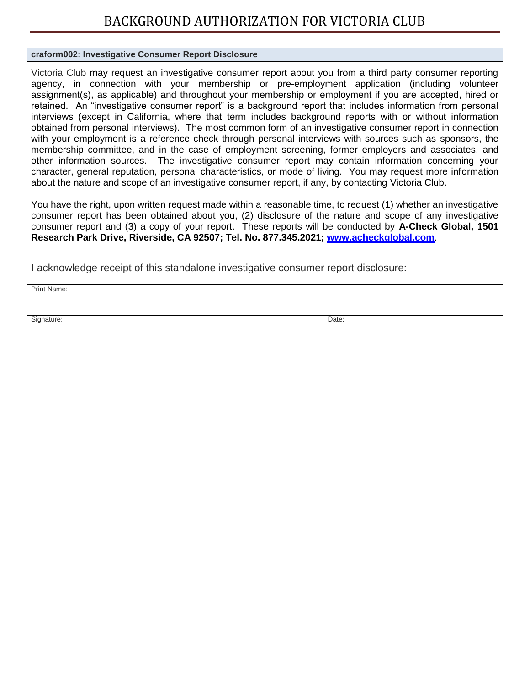### **craform002: Investigative Consumer Report Disclosure**

Victoria Club may request an investigative consumer report about you from a third party consumer reporting agency, in connection with your membership or pre-employment application (including volunteer assignment(s), as applicable) and throughout your membership or employment if you are accepted, hired or retained. An "investigative consumer report" is a background report that includes information from personal interviews (except in California, where that term includes background reports with or without information obtained from personal interviews). The most common form of an investigative consumer report in connection with your employment is a reference check through personal interviews with sources such as sponsors, the membership committee, and in the case of employment screening, former employers and associates, and other information sources. The investigative consumer report may contain information concerning your character, general reputation, personal characteristics, or mode of living. You may request more information about the nature and scope of an investigative consumer report, if any, by contacting Victoria Club.

You have the right, upon written request made within a reasonable time, to request (1) whether an investigative consumer report has been obtained about you, (2) disclosure of the nature and scope of any investigative consumer report and (3) a copy of your report. These reports will be conducted by **A-Check Global, 1501 Research Park Drive, Riverside, CA 92507; Tel. No. 877.345.2021; [www.acheckglobal.com](http://www.acheckglobal.com/)**.

I acknowledge receipt of this standalone investigative consumer report disclosure:

| Print Name: |       |
|-------------|-------|
| Signature:  | Date: |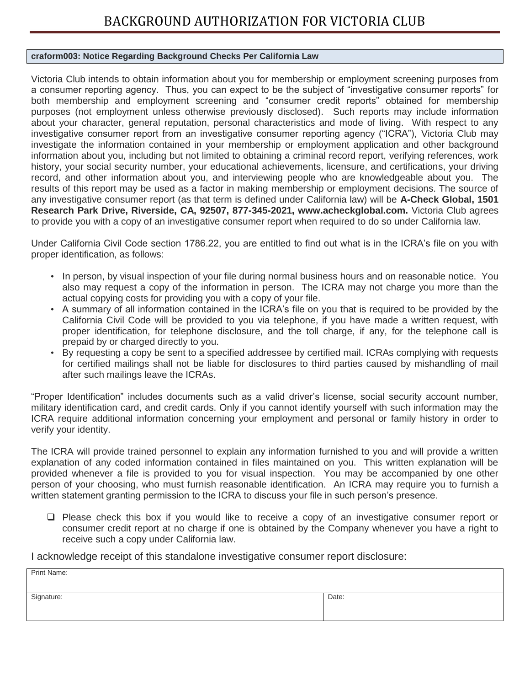### **craform003: Notice Regarding Background Checks Per California Law**

Victoria Club intends to obtain information about you for membership or employment screening purposes from a consumer reporting agency. Thus, you can expect to be the subject of "investigative consumer reports" for both membership and employment screening and "consumer credit reports" obtained for membership purposes (not employment unless otherwise previously disclosed). Such reports may include information about your character, general reputation, personal characteristics and mode of living. With respect to any investigative consumer report from an investigative consumer reporting agency ("ICRA"), Victoria Club may investigate the information contained in your membership or employment application and other background information about you, including but not limited to obtaining a criminal record report, verifying references, work history, your social security number, your educational achievements, licensure, and certifications, your driving record, and other information about you, and interviewing people who are knowledgeable about you. The results of this report may be used as a factor in making membership or employment decisions. The source of any investigative consumer report (as that term is defined under California law) will be **A-Check Global, 1501 Research Park Drive, Riverside, CA, 92507, 877-345-2021, www.acheckglobal.com.** Victoria Club agrees to provide you with a copy of an investigative consumer report when required to do so under California law.

Under California Civil Code section 1786.22, you are entitled to find out what is in the ICRA's file on you with proper identification, as follows:

- In person, by visual inspection of your file during normal business hours and on reasonable notice. You also may request a copy of the information in person. The ICRA may not charge you more than the actual copying costs for providing you with a copy of your file.
- A summary of all information contained in the ICRA's file on you that is required to be provided by the California Civil Code will be provided to you via telephone, if you have made a written request, with proper identification, for telephone disclosure, and the toll charge, if any, for the telephone call is prepaid by or charged directly to you.
- By requesting a copy be sent to a specified addressee by certified mail. ICRAs complying with requests for certified mailings shall not be liable for disclosures to third parties caused by mishandling of mail after such mailings leave the ICRAs.

"Proper Identification" includes documents such as a valid driver's license, social security account number, military identification card, and credit cards. Only if you cannot identify yourself with such information may the ICRA require additional information concerning your employment and personal or family history in order to verify your identity.

The ICRA will provide trained personnel to explain any information furnished to you and will provide a written explanation of any coded information contained in files maintained on you. This written explanation will be provided whenever a file is provided to you for visual inspection. You may be accompanied by one other person of your choosing, who must furnish reasonable identification. An ICRA may require you to furnish a written statement granting permission to the ICRA to discuss your file in such person's presence.

 Please check this box if you would like to receive a copy of an investigative consumer report or consumer credit report at no charge if one is obtained by the Company whenever you have a right to receive such a copy under California law.

I acknowledge receipt of this standalone investigative consumer report disclosure:

| Print Name: |       |
|-------------|-------|
| Signature:  | Date: |
|             |       |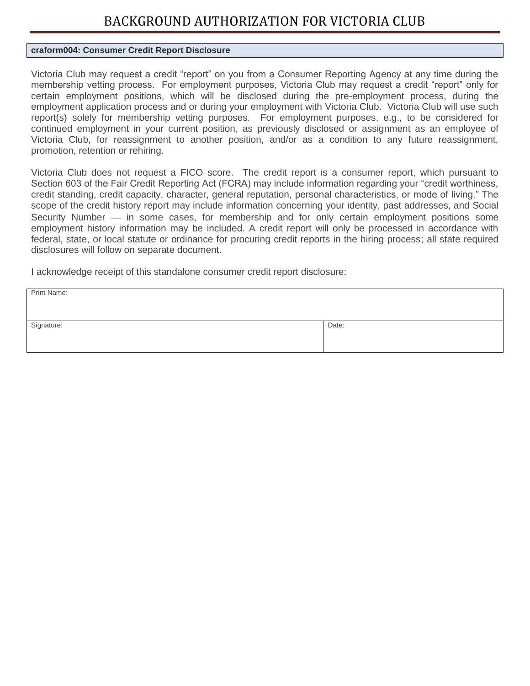#### **craform004: Consumer Credit Report Disclosure**

Victoria Club may request a credit "report" on you from a Consumer Reporting Agency at any time during the membership vetting process. For employment purposes, Victoria Club may request a credit "report" only for certain employment positions, which will be disclosed during the pre-employment process, during the employment application process and or during your employment with Victoria Club. Victoria Club will use such report(s) solely for membership vetting purposes. For employment purposes, e.g., to be considered for continued employment in your current position, as previously disclosed or assignment as an employee of Victoria Club, for reassignment to another position, and/or as a condition to any future reassignment, promotion, retention or rehiring.

Victoria Club does not request a FICO score. The credit report is a consumer report, which pursuant to Section 603 of the Fair Credit Reporting Act (FCRA) may include information regarding your "credit worthiness, credit standing, credit capacity, character, general reputation, personal characteristics, or mode of living." The scope of the credit history report may include information concerning your identity, past addresses, and Social Security Number – in some cases, for membership and for only certain employment positions some employment history information may be included. A credit report will only be processed in accordance with federal, state, or local statute or ordinance for procuring credit reports in the hiring process; all state required disclosures will follow on separate document.

I acknowledge receipt of this standalone consumer credit report disclosure:

| Print Name: |       |
|-------------|-------|
|             |       |
| Signature:  | Date: |
|             |       |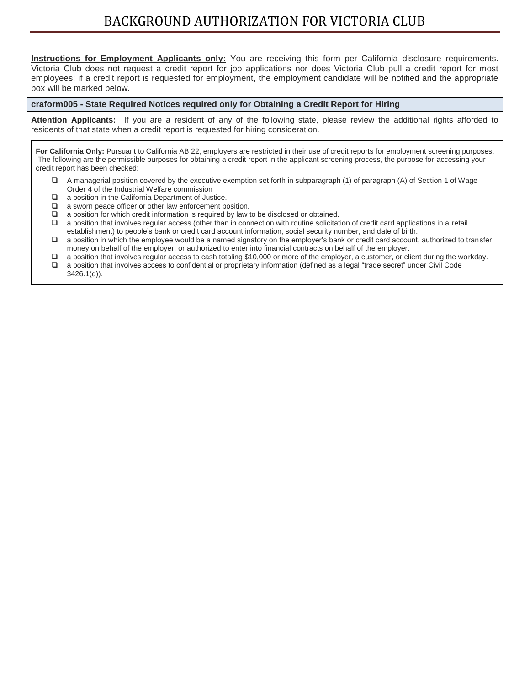**Instructions for Employment Applicants only:** You are receiving this form per California disclosure requirements. Victoria Club does not request a credit report for job applications nor does Victoria Club pull a credit report for most employees; if a credit report is requested for employment, the employment candidate will be notified and the appropriate box will be marked below.

#### **craform005 - State Required Notices required only for Obtaining a Credit Report for Hiring**

**Attention Applicants:** If you are a resident of any of the following state, please review the additional rights afforded to residents of that state when a credit report is requested for hiring consideration.

**For California Only:** Pursuant to California AB 22, employers are restricted in their use of credit reports for employment screening purposes. The following are the permissible purposes for obtaining a credit report in the applicant screening process, the purpose for accessing your credit report has been checked:

- A managerial position covered by the executive exemption set forth in subparagraph (1) of paragraph (A) of Section 1 of Wage Order 4 of the Industrial Welfare commission
- a position in the California Department of Justice.
- $\Box$  a sworn peace officer or other law enforcement position.
- $\Box$  a position for which credit information is required by law to be disclosed or obtained.
- a position that involves regular access (other than in connection with routine solicitation of credit card applications in a retail establishment) to people's bank or credit card account information, social security number, and date of birth.
- a position in which the employee would be a named signatory on the employer's bank or credit card account, authorized to transfer money on behalf of the employer, or authorized to enter into financial contracts on behalf of the employer.
- $\Box$  a position that involves regular access to cash totaling \$10,000 or more of the employer, a customer, or client during the workday. a position that involves access to confidential or proprietary information (defined as a legal "trade secret" under Civil Code
- 3426.1(d)).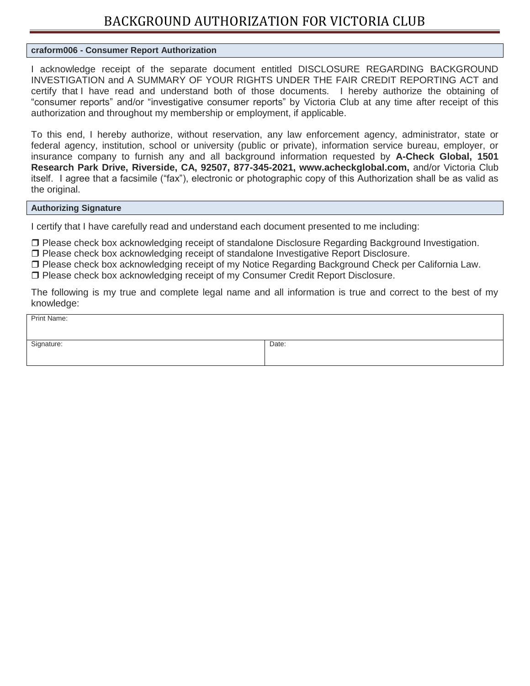#### **craform006 - Consumer Report Authorization**

I acknowledge receipt of the separate document entitled DISCLOSURE REGARDING BACKGROUND INVESTIGATION and A SUMMARY OF YOUR RIGHTS UNDER THE FAIR CREDIT REPORTING ACT and certify that I have read and understand both of those documents. I hereby authorize the obtaining of "consumer reports" and/or "investigative consumer reports" by Victoria Club at any time after receipt of this authorization and throughout my membership or employment, if applicable.

To this end, I hereby authorize, without reservation, any law enforcement agency, administrator, state or federal agency, institution, school or university (public or private), information service bureau, employer, or insurance company to furnish any and all background information requested by **A-Check Global, 1501 Research Park Drive, Riverside, CA, 92507, 877-345-2021, www.acheckglobal.com,** and/or Victoria Club itself. I agree that a facsimile ("fax"), electronic or photographic copy of this Authorization shall be as valid as the original.

#### **Authorizing Signature**

I certify that I have carefully read and understand each document presented to me including:

□ Please check box acknowledging receipt of standalone Disclosure Regarding Background Investigation.

Please check box acknowledging receipt of standalone Investigative Report Disclosure.

Please check box acknowledging receipt of my Notice Regarding Background Check per California Law.

Please check box acknowledging receipt of my Consumer Credit Report Disclosure.

The following is my true and complete legal name and all information is true and correct to the best of my knowledge:

Print Name:

| Signature: | Date: |
|------------|-------|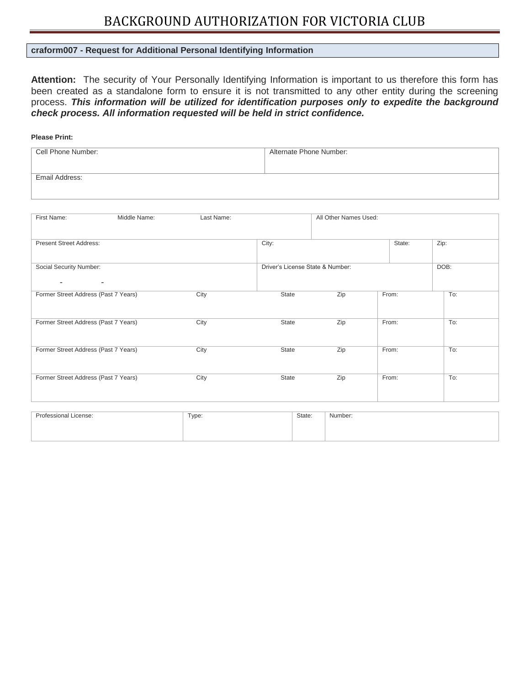### **craform007 - Request for Additional Personal Identifying Information**

**Attention:** The security of Your Personally Identifying Information is important to us therefore this form has been created as a standalone form to ensure it is not transmitted to any other entity during the screening process. *This information will be utilized for identification purposes only to expedite the background check process. All information requested will be held in strict confidence.*

#### **Please Print:**

| Cell Phone Number: | Alternate Phone Number: |
|--------------------|-------------------------|
| Email Address:     |                         |

| First Name:                          | Middle Name:             | Last Name: |                                  | All Other Names Used: |        |      |
|--------------------------------------|--------------------------|------------|----------------------------------|-----------------------|--------|------|
|                                      |                          |            |                                  |                       |        |      |
|                                      |                          |            |                                  |                       |        |      |
| <b>Present Street Address:</b>       |                          |            | City:                            |                       | State: | Zip: |
|                                      |                          |            |                                  |                       |        |      |
|                                      |                          |            |                                  |                       |        |      |
| Social Security Number:              |                          |            | Driver's License State & Number: |                       |        | DOB: |
|                                      |                          |            |                                  |                       |        |      |
| ٠                                    | $\overline{\phantom{a}}$ |            |                                  |                       |        |      |
| Former Street Address (Past 7 Years) |                          | City       | State                            | Zip                   | From:  | To:  |
|                                      |                          |            |                                  |                       |        |      |
|                                      |                          |            |                                  |                       |        |      |
| Former Street Address (Past 7 Years) |                          | City       | State                            | Zip                   | From:  | To:  |
|                                      |                          |            |                                  |                       |        |      |
|                                      |                          |            |                                  |                       |        |      |
|                                      |                          |            |                                  |                       |        |      |
| Former Street Address (Past 7 Years) |                          | City       | State                            | Zip                   | From:  | To:  |
|                                      |                          |            |                                  |                       |        |      |
|                                      |                          |            |                                  |                       |        |      |
| Former Street Address (Past 7 Years) |                          | City       | State                            | Zip                   | From:  | To:  |
|                                      |                          |            |                                  |                       |        |      |
|                                      |                          |            |                                  |                       |        |      |
|                                      |                          |            |                                  |                       |        |      |

| <b>Professional License:</b> | Type: | State: | Number <sup>®</sup> |
|------------------------------|-------|--------|---------------------|
|                              |       |        |                     |
|                              |       |        |                     |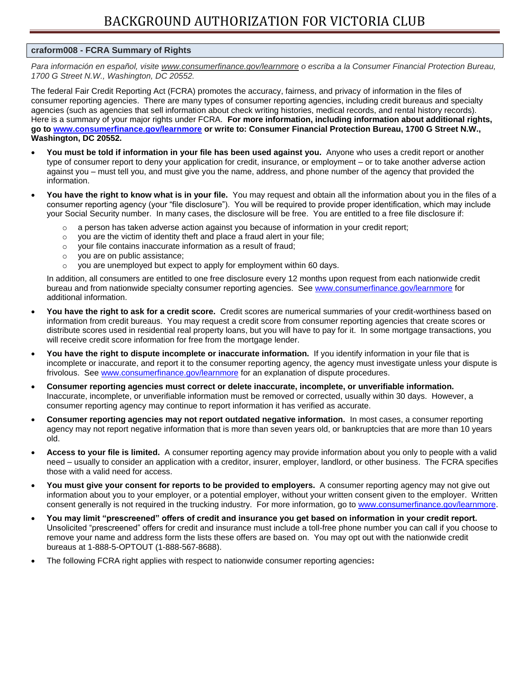### **craform008 - FCRA Summary of Rights**

*Para información en español, visite www.consumerfinance.gov/learnmore o escriba a la Consumer Financial Protection Bureau, 1700 G Street N.W., Washington, DC 20552.*

The federal Fair Credit Reporting Act (FCRA) promotes the accuracy, fairness, and privacy of information in the files of consumer reporting agencies. There are many types of consumer reporting agencies, including credit bureaus and specialty agencies (such as agencies that sell information about check writing histories, medical records, and rental history records). Here is a summary of your major rights under FCRA. **For more information, including information about additional rights, go to [www.consumerfinance.gov/learnmore](http://www.consumerfinance.gov/learnmore) or write to: Consumer Financial Protection Bureau, 1700 G Street N.W., Washington, DC 20552.**

- **You must be told if information in your file has been used against you.** Anyone who uses a credit report or another type of consumer report to deny your application for credit, insurance, or employment – or to take another adverse action against you – must tell you, and must give you the name, address, and phone number of the agency that provided the information.
- **You have the right to know what is in your file.** You may request and obtain all the information about you in the files of a consumer reporting agency (your "file disclosure"). You will be required to provide proper identification, which may include your Social Security number. In many cases, the disclosure will be free. You are entitled to a free file disclosure if:
	- $\circ$  a person has taken adverse action against you because of information in your credit report;
	- o you are the victim of identity theft and place a fraud alert in your file;
	- o your file contains inaccurate information as a result of fraud;
	- o you are on public assistance;
	- o you are unemployed but expect to apply for employment within 60 days.

In addition, all consumers are entitled to one free disclosure every 12 months upon request from each nationwide credit bureau and from nationwide specialty consumer reporting agencies. See [www.consumerfinance.gov/learnmore](http://www.consumerfinance.gov/learnmore) for additional information.

- **You have the right to ask for a credit score.** Credit scores are numerical summaries of your credit-worthiness based on information from credit bureaus. You may request a credit score from consumer reporting agencies that create scores or distribute scores used in residential real property loans, but you will have to pay for it. In some mortgage transactions, you will receive credit score information for free from the mortgage lender.
- **You have the right to dispute incomplete or inaccurate information.** If you identify information in your file that is incomplete or inaccurate, and report it to the consumer reporting agency, the agency must investigate unless your dispute is frivolous. See [www.consumerfinance.gov/learnmore](http://www.consumerfinance.gov/learnmore) for an explanation of dispute procedures.
- **Consumer reporting agencies must correct or delete inaccurate, incomplete, or unverifiable information.**  Inaccurate, incomplete, or unverifiable information must be removed or corrected, usually within 30 days. However, a consumer reporting agency may continue to report information it has verified as accurate.
- **Consumer reporting agencies may not report outdated negative information.** In most cases, a consumer reporting agency may not report negative information that is more than seven years old, or bankruptcies that are more than 10 years old.
- **Access to your file is limited.** A consumer reporting agency may provide information about you only to people with a valid need – usually to consider an application with a creditor, insurer, employer, landlord, or other business. The FCRA specifies those with a valid need for access.
- **You must give your consent for reports to be provided to employers.** A consumer reporting agency may not give out information about you to your employer, or a potential employer, without your written consent given to the employer. Written consent generally is not required in the trucking industry. For more information, go to [www.consumerfinance.gov/learnmore.](http://www.consumerfinance.gov/learnmore)
- **You may limit "prescreened" offers of credit and insurance you get based on information in your credit report.** Unsolicited "prescreened" offers for credit and insurance must include a toll-free phone number you can call if you choose to remove your name and address form the lists these offers are based on. You may opt out with the nationwide credit bureaus at 1-888-5-OPTOUT (1-888-567-8688).
- The following FCRA right applies with respect to nationwide consumer reporting agencies**:**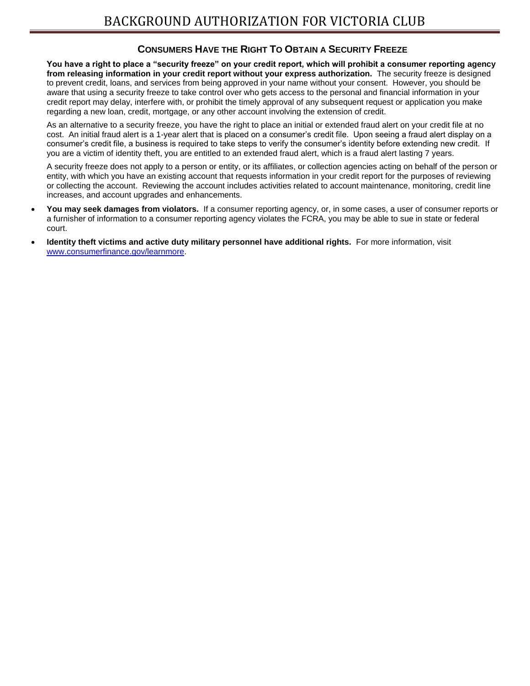## **CONSUMERS HAVE THE RIGHT TO OBTAIN A SECURITY FREEZE**

**You have a right to place a "security freeze" on your credit report, which will prohibit a consumer reporting agency from releasing information in your credit report without your express authorization.** The security freeze is designed to prevent credit, loans, and services from being approved in your name without your consent. However, you should be aware that using a security freeze to take control over who gets access to the personal and financial information in your credit report may delay, interfere with, or prohibit the timely approval of any subsequent request or application you make regarding a new loan, credit, mortgage, or any other account involving the extension of credit.

As an alternative to a security freeze, you have the right to place an initial or extended fraud alert on your credit file at no cost. An initial fraud alert is a 1-year alert that is placed on a consumer's credit file. Upon seeing a fraud alert display on a consumer's credit file, a business is required to take steps to verify the consumer's identity before extending new credit. If you are a victim of identity theft, you are entitled to an extended fraud alert, which is a fraud alert lasting 7 years.

A security freeze does not apply to a person or entity, or its affiliates, or collection agencies acting on behalf of the person or entity, with which you have an existing account that requests information in your credit report for the purposes of reviewing or collecting the account. Reviewing the account includes activities related to account maintenance, monitoring, credit line increases, and account upgrades and enhancements.

- **You may seek damages from violators.** If a consumer reporting agency, or, in some cases, a user of consumer reports or a furnisher of information to a consumer reporting agency violates the FCRA, you may be able to sue in state or federal court.
- **Identity theft victims and active duty military personnel have additional rights.** For more information, visit [www.consumerfinance.gov/learnmore.](http://www.consumerfinance.gov/learnmore)